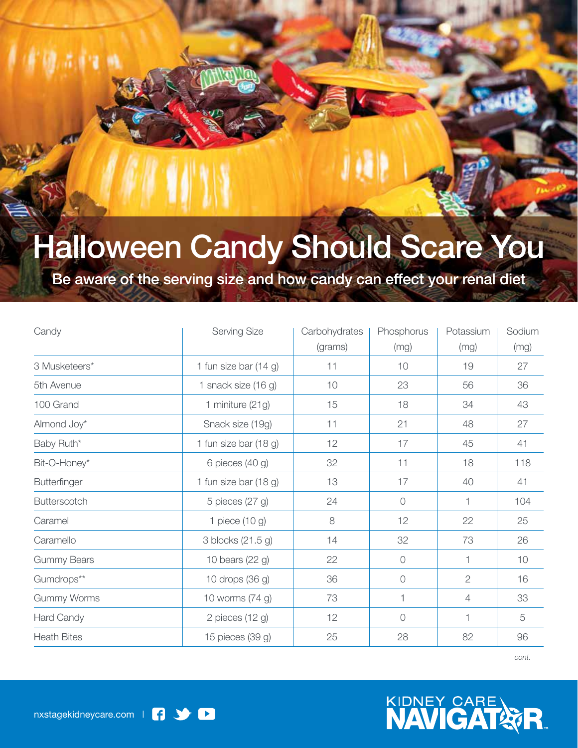## Halloween Candy Should Scare You

Be aware of the serving size and how candy can effect your renal diet

| Candy               | Serving Size            | Carbohydrates | Phosphorus | Potassium      | Sodium |
|---------------------|-------------------------|---------------|------------|----------------|--------|
|                     |                         | (grams)       | (mg)       | (mg)           | (mg)   |
| 3 Musketeers*       | 1 fun size bar $(14 g)$ | 11            | 10         | 19             | 27     |
| 5th Avenue          | 1 snack size $(16 g)$   | 10            | 23         | 56             | 36     |
| 100 Grand           | 1 miniture (21g)        | 15            | 18         | 34             | 43     |
| Almond Joy*         | Snack size (19g)        | 11            | 21         | 48             | 27     |
| Baby Ruth*          | 1 fun size bar (18 g)   | 12            | 17         | 45             | 41     |
| Bit-O-Honey*        | 6 pieces (40 g)         | 32            | 11         | 18             | 118    |
| Butterfinger        | 1 fun size bar (18 g)   | 13            | 17         | 40             | 41     |
| <b>Butterscotch</b> | 5 pieces (27 g)         | 24            | $\circ$    | 1              | 104    |
| Caramel             | 1 piece $(10 g)$        | 8             | 12         | 22             | 25     |
| Caramello           | 3 blocks (21.5 g)       | 14            | 32         | 73             | 26     |
| <b>Gummy Bears</b>  | 10 bears (22 g)         | 22            | $\sqrt{a}$ | 1              | 10     |
| Gumdrops**          | 10 drops (36 g)         | 36            | $\bigcirc$ | $\overline{2}$ | 16     |
| <b>Gummy Worms</b>  | 10 worms (74 g)         | 73            | 1          | $\overline{4}$ | 33     |
| Hard Candy          | 2 pieces $(12 g)$       | 12            | $\bigcirc$ | 1              | 5      |
| <b>Heath Bites</b>  | 15 pieces (39 g)        | 25            | 28         | 82             | 96     |

*cont.*